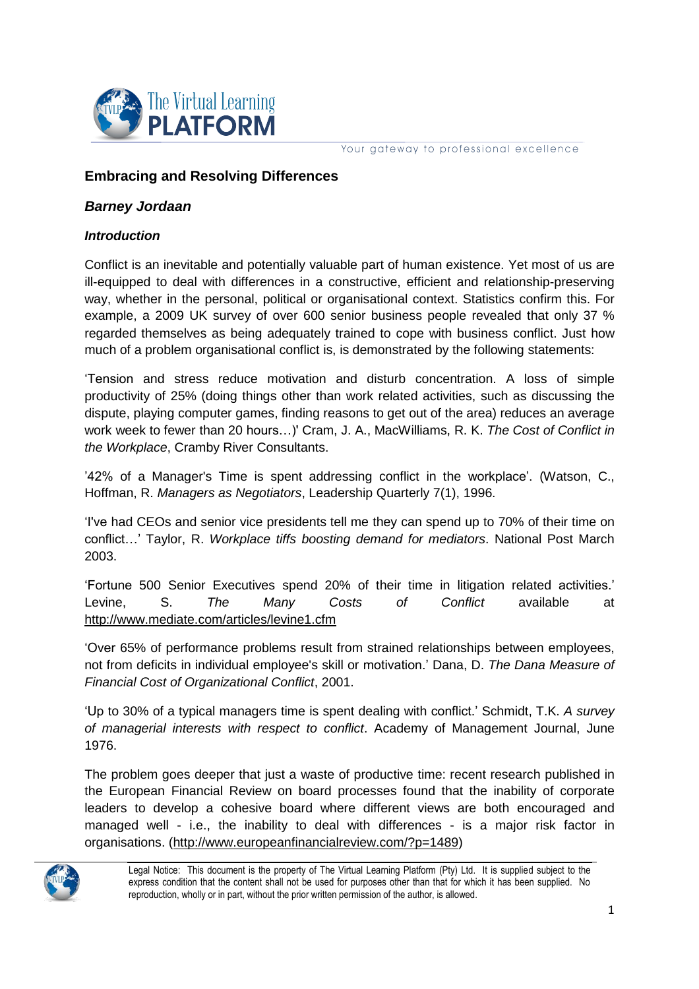

Your gateway to professional excellence

# **Embracing and Resolving Differences**

### *Barney Jordaan*

### *Introduction*

Conflict is an inevitable and potentially valuable part of human existence. Yet most of us are ill-equipped to deal with differences in a constructive, efficient and relationship-preserving way, whether in the personal, political or organisational context. Statistics confirm this. For example, a 2009 UK survey of over 600 senior business people revealed that only 37 % regarded themselves as being adequately trained to cope with business conflict. Just how much of a problem organisational conflict is, is demonstrated by the following statements:

'Tension and stress reduce motivation and disturb concentration. A loss of simple productivity of 25% (doing things other than work related activities, such as discussing the dispute, playing computer games, finding reasons to get out of the area) reduces an average work week to fewer than 20 hours…)' Cram, J. A., MacWilliams, R. K. *The Cost of Conflict in the Workplace*, Cramby River Consultants.

'42% of a Manager's Time is spent addressing conflict in the workplace'. (Watson, C., Hoffman, R. *Managers as Negotiators*, Leadership Quarterly 7(1), 1996.

'I've had CEOs and senior vice presidents tell me they can spend up to 70% of their time on conflict…' Taylor, R. *Workplace tiffs boosting demand for mediators*. National Post March 2003.

'Fortune 500 Senior Executives spend 20% of their time in litigation related activities.' Levine, S. *The Many Costs of Conflict* available at <http://www.mediate.com/articles/levine1.cfm>

'Over 65% of performance problems result from strained relationships between employees, not from deficits in individual employee's skill or motivation.' Dana, D. *The Dana Measure of Financial Cost of Organizational Conflict*, 2001.

'Up to 30% of a typical managers time is spent dealing with conflict.' Schmidt, T.K. *A survey of managerial interests with respect to conflict*. Academy of Management Journal, June 1976.

The problem goes deeper that just a waste of productive time: recent research published in the European Financial Review on board processes found that the inability of corporate leaders to develop a cohesive board where different views are both encouraged and managed well - i.e., the inability to deal with differences - is a major risk factor in organisations. [\(http://www.europeanfinancialreview.com/?p=1489\)](http://www.europeanfinancialreview.com/?p=1489)



Legal Notice: This document is the property of The Virtual Learning Platform (Pty) Ltd. It is supplied subject to the express condition that the content shall not be used for purposes other than that for which it has been supplied. No reproduction, wholly or in part, without the prior written permission of the author, is allowed.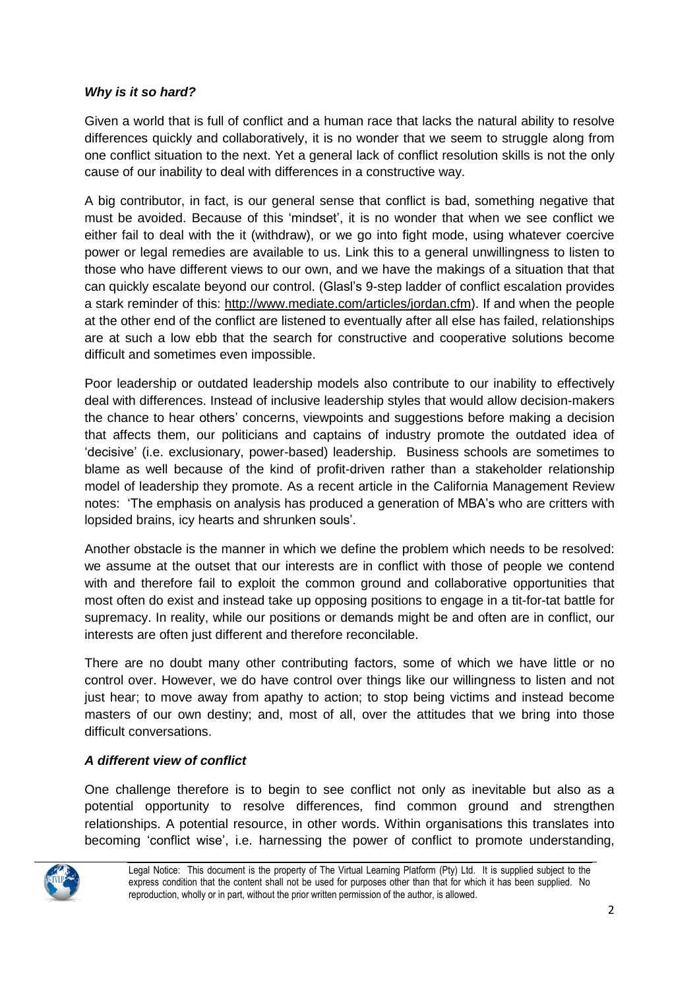## *Why is it so hard?*

Given a world that is full of conflict and a human race that lacks the natural ability to resolve differences quickly and collaboratively, it is no wonder that we seem to struggle along from one conflict situation to the next. Yet a general lack of conflict resolution skills is not the only cause of our inability to deal with differences in a constructive way.

A big contributor, in fact, is our general sense that conflict is bad, something negative that must be avoided. Because of this 'mindset', it is no wonder that when we see conflict we either fail to deal with the it (withdraw), or we go into fight mode, using whatever coercive power or legal remedies are available to us. Link this to a general unwillingness to listen to those who have different views to our own, and we have the makings of a situation that that can quickly escalate beyond our control. (Glasl's 9-step ladder of conflict escalation provides a stark reminder of this: [http://www.mediate.com/articles/jordan.cfm\)](http://www.mediate.com/articles/jordan.cfm). If and when the people at the other end of the conflict are listened to eventually after all else has failed, relationships are at such a low ebb that the search for constructive and cooperative solutions become difficult and sometimes even impossible.

Poor leadership or outdated leadership models also contribute to our inability to effectively deal with differences. Instead of inclusive leadership styles that would allow decision-makers the chance to hear others' concerns, viewpoints and suggestions before making a decision that affects them, our politicians and captains of industry promote the outdated idea of 'decisive' (i.e. exclusionary, power-based) leadership. Business schools are sometimes to blame as well because of the kind of profit-driven rather than a stakeholder relationship model of leadership they promote. As a recent article in the California Management Review notes: 'The emphasis on analysis has produced a generation of MBA's who are critters with lopsided brains, icy hearts and shrunken souls'.

Another obstacle is the manner in which we define the problem which needs to be resolved: we assume at the outset that our interests are in conflict with those of people we contend with and therefore fail to exploit the common ground and collaborative opportunities that most often do exist and instead take up opposing positions to engage in a tit-for-tat battle for supremacy. In reality, while our positions or demands might be and often are in conflict, our interests are often just different and therefore reconcilable.

There are no doubt many other contributing factors, some of which we have little or no control over. However, we do have control over things like our willingness to listen and not just hear; to move away from apathy to action; to stop being victims and instead become masters of our own destiny; and, most of all, over the attitudes that we bring into those difficult conversations.

## *A different view of conflict*

One challenge therefore is to begin to see conflict not only as inevitable but also as a potential opportunity to resolve differences, find common ground and strengthen relationships. A potential resource, in other words. Within organisations this translates into becoming 'conflict wise', i.e. harnessing the power of conflict to promote understanding,



Legal Notice: This document is the property of The Virtual Learning Platform (Pty) Ltd. It is supplied subject to the express condition that the content shall not be used for purposes other than that for which it has been supplied. No reproduction, wholly or in part, without the prior written permission of the author, is allowed.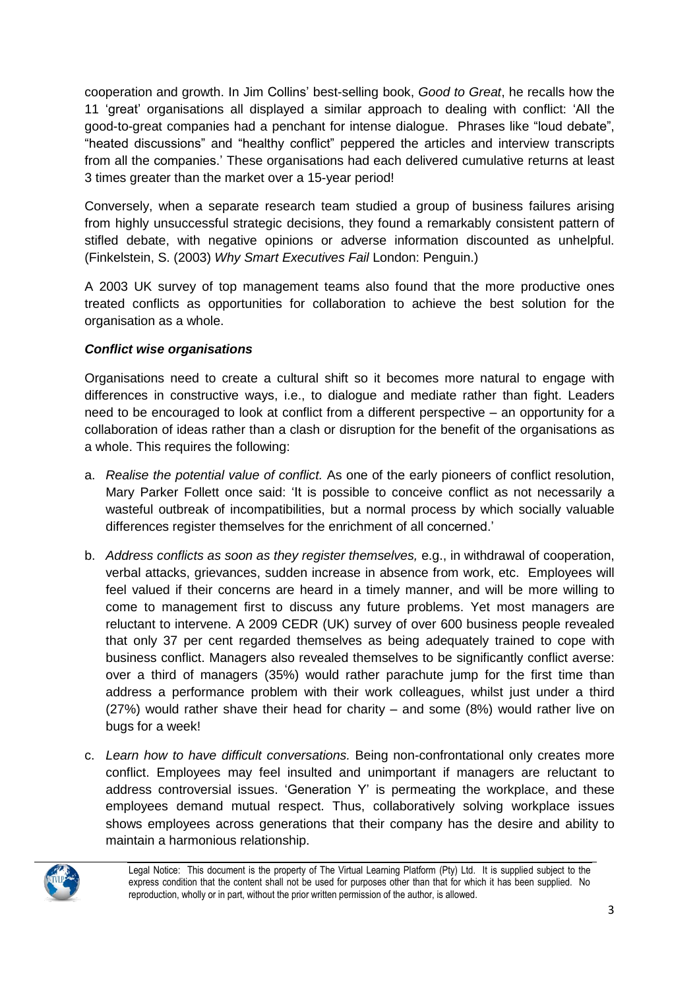cooperation and growth. In Jim Collins' best-selling book, *Good to Great*, he recalls how the 11 'great' organisations all displayed a similar approach to dealing with conflict: 'All the good-to-great companies had a penchant for intense dialogue. Phrases like "loud debate", "heated discussions" and "healthy conflict" peppered the articles and interview transcripts from all the companies.' These organisations had each delivered cumulative returns at least 3 times greater than the market over a 15-year period!

Conversely, when a separate research team studied a group of business failures arising from highly unsuccessful strategic decisions, they found a remarkably consistent pattern of stifled debate, with negative opinions or adverse information discounted as unhelpful. (Finkelstein, S. (2003) *Why Smart Executives Fail* London: Penguin.)

A 2003 UK survey of top management teams also found that the more productive ones treated conflicts as opportunities for collaboration to achieve the best solution for the organisation as a whole.

## *Conflict wise organisations*

Organisations need to create a cultural shift so it becomes more natural to engage with differences in constructive ways, i.e., to dialogue and mediate rather than fight. Leaders need to be encouraged to look at conflict from a different perspective – an opportunity for a collaboration of ideas rather than a clash or disruption for the benefit of the organisations as a whole. This requires the following:

- a. *Realise the potential value of conflict.* As one of the early pioneers of conflict resolution, Mary Parker Follett once said: 'It is possible to conceive conflict as not necessarily a wasteful outbreak of incompatibilities, but a normal process by which socially valuable differences register themselves for the enrichment of all concerned.'
- b. *Address conflicts as soon as they register themselves,* e.g., in withdrawal of cooperation, verbal attacks, grievances, sudden increase in absence from work, etc. Employees will feel valued if their concerns are heard in a timely manner, and will be more willing to come to management first to discuss any future problems. Yet most managers are reluctant to intervene. A 2009 CEDR (UK) survey of over 600 business people revealed that only 37 per cent regarded themselves as being adequately trained to cope with business conflict. Managers also revealed themselves to be significantly conflict averse: over a third of managers (35%) would rather parachute jump for the first time than address a performance problem with their work colleagues, whilst just under a third (27%) would rather shave their head for charity – and some (8%) would rather live on bugs for a week!
- c. *Learn how to have difficult conversations.* Being non-confrontational only creates more conflict. Employees may feel insulted and unimportant if managers are reluctant to address controversial issues. 'Generation Y' is permeating the workplace, and these employees demand mutual respect. Thus, collaboratively solving workplace issues shows employees across generations that their company has the desire and ability to maintain a harmonious relationship.



Legal Notice: This document is the property of The Virtual Learning Platform (Pty) Ltd. It is supplied subject to the express condition that the content shall not be used for purposes other than that for which it has been supplied. No reproduction, wholly or in part, without the prior written permission of the author, is allowed.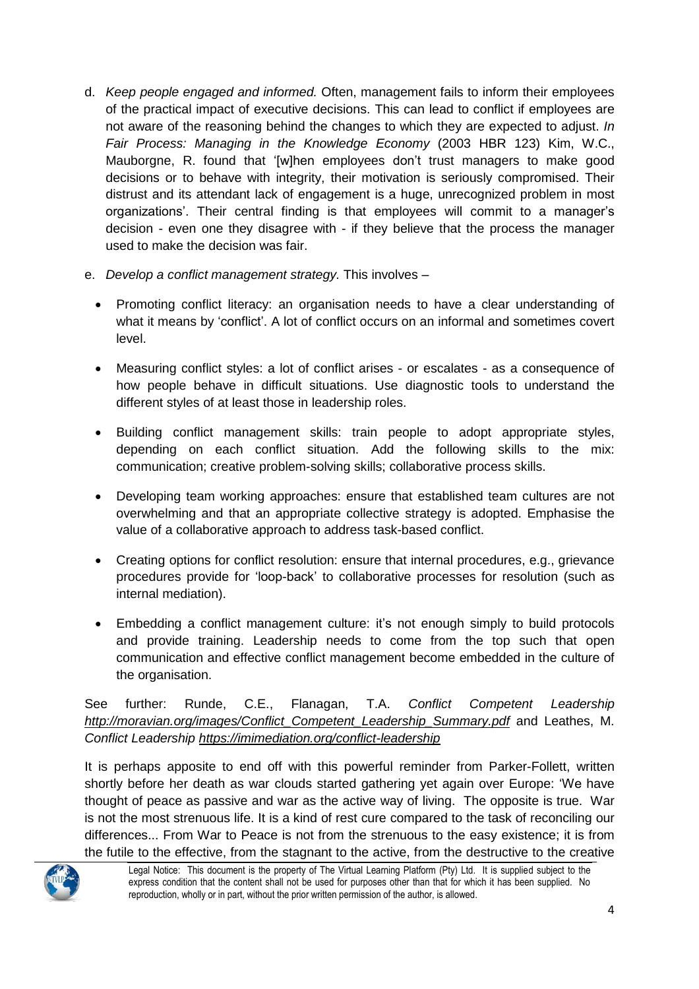- d. *Keep people engaged and informed.* Often, management fails to inform their employees of the practical impact of executive decisions. This can lead to conflict if employees are not aware of the reasoning behind the changes to which they are expected to adjust. *In Fair Process: Managing in the Knowledge Economy* (2003 HBR 123) Kim, W.C., Mauborgne, R. found that '[w]hen employees don't trust managers to make good decisions or to behave with integrity, their motivation is seriously compromised. Their distrust and its attendant lack of engagement is a huge, unrecognized problem in most organizations'. Their central finding is that employees will commit to a manager's decision - even one they disagree with - if they believe that the process the manager used to make the decision was fair.
- e. *Develop a conflict management strategy.* This involves
	- Promoting conflict literacy: an organisation needs to have a clear understanding of what it means by 'conflict'. A lot of conflict occurs on an informal and sometimes covert level.
	- Measuring conflict styles: a lot of conflict arises or escalates as a consequence of how people behave in difficult situations. Use diagnostic tools to understand the different styles of at least those in leadership roles.
	- Building conflict management skills: train people to adopt appropriate styles, depending on each conflict situation. Add the following skills to the mix: communication; creative problem-solving skills; collaborative process skills.
	- Developing team working approaches: ensure that established team cultures are not overwhelming and that an appropriate collective strategy is adopted. Emphasise the value of a collaborative approach to address task-based conflict.
	- Creating options for conflict resolution: ensure that internal procedures, e.g., grievance procedures provide for 'loop-back' to collaborative processes for resolution (such as internal mediation).
	- Embedding a conflict management culture: it's not enough simply to build protocols and provide training. Leadership needs to come from the top such that open communication and effective conflict management become embedded in the culture of the organisation.

See further: Runde, C.E., Flanagan, T.A. *Conflict Competent Leadership [http://moravian.org/images/Conflict\\_Competent\\_Leadership\\_Summary.pdf](http://moravian.org/images/Conflict_Competent_Leadership_Summary.pdf)* and Leathes, M. *Conflict Leadership <https://imimediation.org/conflict-leadership>*

It is perhaps apposite to end off with this powerful reminder from Parker-Follett, written shortly before her death as war clouds started gathering yet again over Europe: 'We have thought of peace as passive and war as the active way of living. The opposite is true. War is not the most strenuous life. It is a kind of rest cure compared to the task of reconciling our differences... From War to Peace is not from the strenuous to the easy existence; it is from the futile to the effective, from the stagnant to the active, from the destructive to the creative



Legal Notice: This document is the property of The Virtual Learning Platform (Pty) Ltd. It is supplied subject to the express condition that the content shall not be used for purposes other than that for which it has been supplied. No reproduction, wholly or in part, without the prior written permission of the author, is allowed.